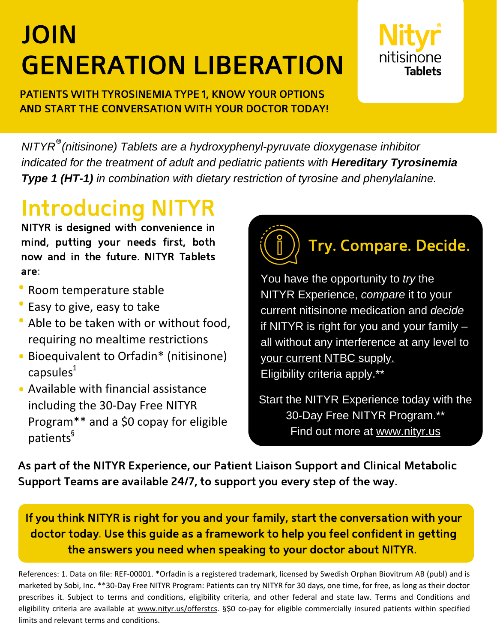# JOIN GENERATION LIBERATION



PATIENTS WITH TYROSINEMIA TYPE 1, KNOW YOUR OPTIONS AND START THE CONVERSATION WITH YOUR DOCTOR TODAY!

*NITYR (nitisinone) Tablets are a hydroxyphenyl-pyruvate dioxygenase inhibitor* ®*indicated for the treatment of adult and pediatric patients with Hereditary Tyrosinemia Type 1 (HT-1) in combination with dietary restriction of tyrosine and phenylalanine.*

## **Introducing N**

NITYR is designed with convenience in mind, putting your needs first, both now and in the future. NITYR Tablets are:

- Room temperature stable al<br>0<br>0
- Easy to give, easy to take ·<br>•<br>•
- Able to be taken with or without food, requiring no mealtime restrictions ·<br>•<br>·
- Bioequivalent to Orfadin\* (nitisinone) capsules $^1$ ·<br>·
- Available with financial assistance including the 30-Day Free NITYR Program\*\* and a \$0 copay for eligible patients § ·

Try. Compare. Decide.

You have the opportunity to *try* the NITYR Experience, *compare* it to your current nitisinone medication and *decide* if NITYR is right for you and your family – all without any interference at any level to your current NTBC supply. Eligibility criteria apply.\*\*

Start the NITYR Experience today with the 30-Day Free NITYR Program.\*\* Find out [more](https://www.nityr.us/patient/why-nityr/free-nityr) at [www.nityr.us](http://www.nityr.us/)

As part of the NITYR Experience, our Patient Liaison Support and Clinical Metabolic Support Teams are available 24/7, to support you every step of the way.

If you think NITYR is right for you and your family, start the conversation with your doctor today. Use this guide as a framework to help you feel confident in getting the answers you need when speaking to your doctor about NITYR.

References: 1. Data on file: REF-00001. \*Orfadin is a registered trademark, licensed by Swedish Orphan Biovitrum AB (publ) and is marketed by Sobi, Inc. \*\*30-Day Free NITYR Program: Patients can try NITYR for 30 days, one time, for free, as long as their doctor prescribes it. Subject to terms and conditions, eligibility criteria, and other federal and state law. Terms and Conditions and eligibility criteria are available at [www.nityr.us/offerstcs.](http://www.nityr.us/offerstcs) §\$0 co-pay for eligible commercially insured patients within specified limits and relevant terms and conditions.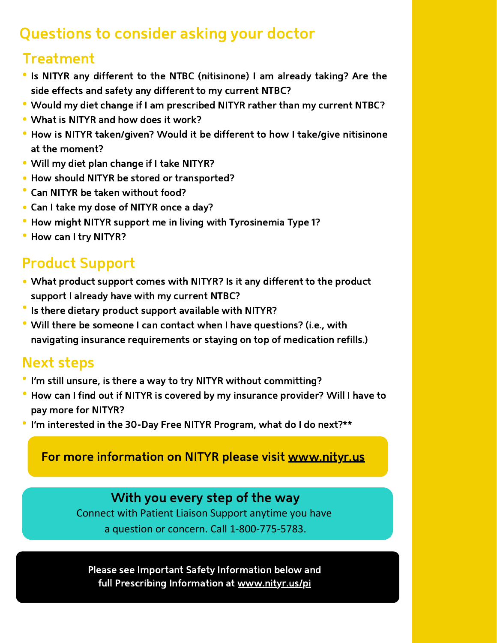## Questions to consider asking your doctor

## **Treatment**

- Is NITYR any different to the NTBC (nitisinone) I am already taking? Are the side effects and safety any different to my current NTBC? ·
- Would my diet change if I am prescribed NITYR rather than my current NTBC? ·
- What is NITYR and how does it work? ·
- How is NITYR taken/given? Would it be different to how I take/give nitisinone at the moment? ·
- Will my diet plan change if I take NITYR? ·
- How should NITYR be stored or transported? ·<br>·<br>·
- Can NITYR be taken without food? ·
- Can I take my dose of NITYR once a day? ·
- How might NITYR support me in living with Tyrosinemia Type 1?
- Can't take my dose of<br>• How might NITYR sup<br>• How can I try NITYR? ·

## Product Support

- What product support comes with NITYR? Is it any different to the product support I already have with my current NTBC? ·
- Is there dietary product support available with NITYR? ·
- Will there be someone I can contact when I have questions? (i.e., with navigating insurance requirements or staying on top of medication refills.) ·

## Next steps

- I'm still unsure, is there a way to try NITYR without committing? ·
- How can I find out if NITYR is covered by my insurance provider? Will I have to pay more for NITYR? ·
- I'm interested in the 30-Day Free NITYR Program, what do I do next?\*\* ·

For more information on NITYR please visit [www.nityr.us](http://www.nityr.us/)

### With you every step of the way

Connect with Patient Liaison Support anytime you have a question or concern. Call 1-800-775-5783.

Please see Important Safety Information below and full Prescribing [Information](http://www.nityr.us/pi) at [www.nityr.us/pi](http://www.nityr.us/pi)